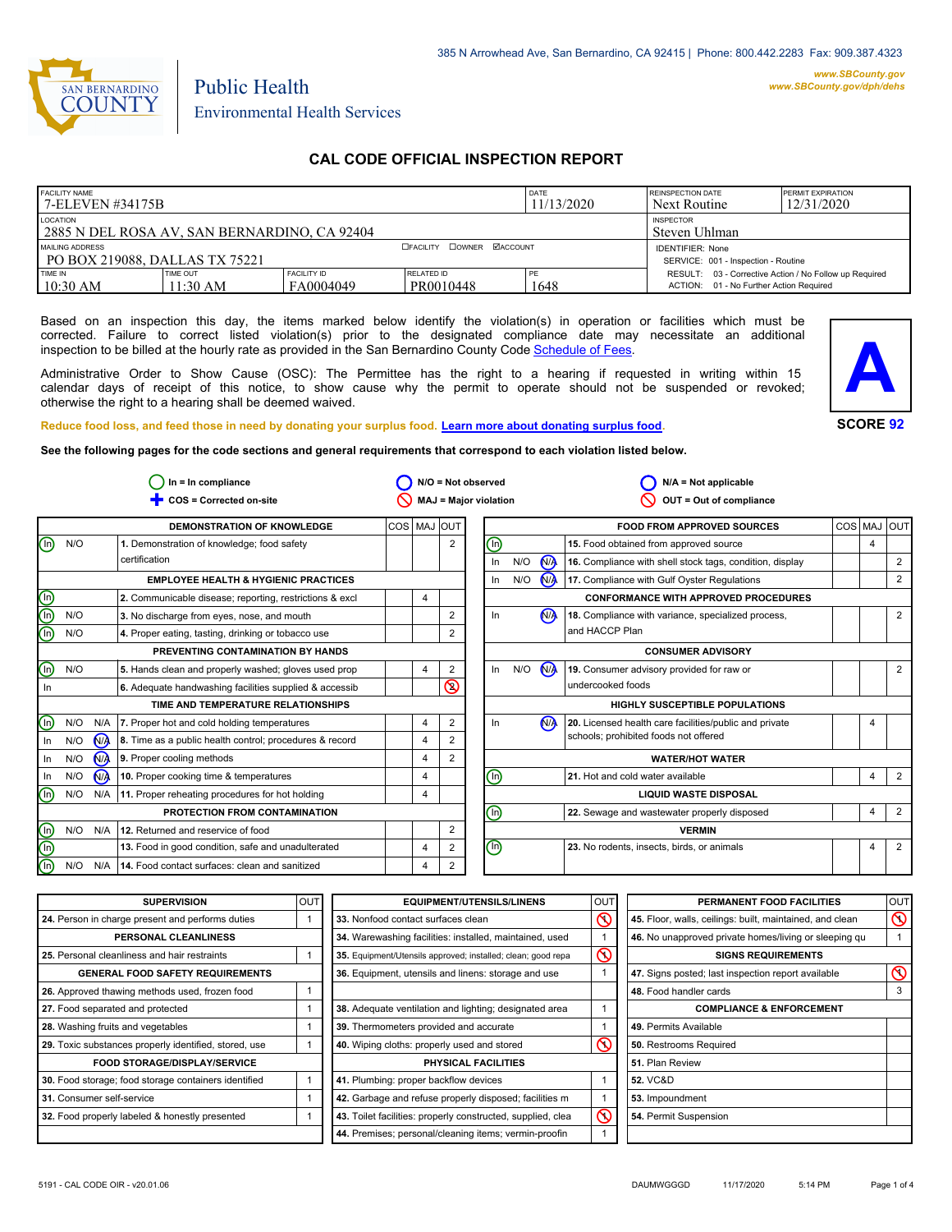

# Environmental Health Services

Public Health

## **CAL CODE OFFICIAL INSPECTION REPORT**

| <b>FACILITY NAME</b><br>l 7-eleven #34175B                |                      |                                                                |                         | <b>DATE</b><br>11/13/2020 | <b>REINSPECTION DATE</b><br>Next Routine                                                          | <b>PERMIT EXPIRATION</b><br>12/31/2020 |
|-----------------------------------------------------------|----------------------|----------------------------------------------------------------|-------------------------|---------------------------|---------------------------------------------------------------------------------------------------|----------------------------------------|
| LOCATION<br>12885 N DEL ROSA AV, SAN BERNARDINO, CA 92404 |                      | <b>INSPECTOR</b><br>Steven Uhlman                              |                         |                           |                                                                                                   |                                        |
| MAILING ADDRESS<br><b>PO BOX 219088, DALLAS TX 75221</b>  |                      | <b>IDENTIFIER: None</b><br>SERVICE: 001 - Inspection - Routine |                         |                           |                                                                                                   |                                        |
| <b>TIME IN</b><br>$10:30$ AM                              | TIME OUT<br>11:30 AM | <b>FACILITY ID</b><br>FA0004049                                | RELATED ID<br>PR0010448 | PF<br>1648                | RESULT: 03 - Corrective Action / No Follow up Required<br>ACTION: 01 - No Further Action Required |                                        |

Based on an inspection this day, the items marked below identify the violation(s) in operation or facilities which must be corrected. Failure to correct listed violation(s) prior to the designated compliance date may necessitate an additional inspection to be billed at the hourly rate as provided in the San Bernardino County Co[de Schedule of Fees.](http://www.amlegal.com/nxt/gateway.dll/California/sanbernardinocounty_ca/title1governmentandadministration/division6countyfees/chapter2scheduleoffees?f=templates$fn=default.htm$3.0$vid=amlegal:sanbernardinocounty_ca$anc=JD_16.0213B)

Administrative Order to Show Cause (OSC): The Permittee has the right to a hearing if requested in writing within 15 calendar days of receipt of this notice, to show cause why the permit to operate should not be suspended or revoked; otherwise the right to a hearing shall be deemed waived.



#### **Reduce food loss, and feed those in need by donating your surplus f[ood. Learn more about donating surplus food.](http://wp.sbcounty.gov/dph/programs/ehs/food-facilities/)**

**See the following pages for the code sections and general requirements that correspond to each violation listed below.**

| $In = In$ compliance           |     |                | $N/O = Not observed$                                    |             | $N/A = Not applicable$  |                |                                |                              |                      |                                                          |            |   |                |
|--------------------------------|-----|----------------|---------------------------------------------------------|-------------|-------------------------|----------------|--------------------------------|------------------------------|----------------------|----------------------------------------------------------|------------|---|----------------|
| COS = Corrected on-site        |     |                | MAJ = Major violation                                   |             | OUT = Out of compliance |                |                                |                              |                      |                                                          |            |   |                |
|                                |     |                | <b>DEMONSTRATION OF KNOWLEDGE</b>                       | COS MAJ OUT |                         |                |                                |                              |                      | <b>FOOD FROM APPROVED SOURCES</b>                        | <b>COS</b> |   | <b>MAJ OUT</b> |
| $\textcircled{\scriptsize{1}}$ | N/O |                | 1. Demonstration of knowledge; food safety              |             |                         | 2              | ⓪                              |                              |                      | 15. Food obtained from approved source                   |            | 4 |                |
|                                |     |                | certification                                           |             |                         |                | In                             | N/O                          | <b>MA</b>            | 16. Compliance with shell stock tags, condition, display |            |   | 2              |
|                                |     |                | <b>EMPLOYEE HEALTH &amp; HYGIENIC PRACTICES</b>         |             |                         |                | In                             | N/O                          | <b>NA</b>            | 17. Compliance with Gulf Oyster Regulations              |            |   | 2              |
| 6eg                            |     |                | 2. Communicable disease; reporting, restrictions & excl |             | 4                       |                |                                |                              |                      | <b>CONFORMANCE WITH APPROVED PROCEDURES</b>              |            |   |                |
|                                | N/O |                | 3. No discharge from eyes, nose, and mouth              |             |                         | 2              | In                             |                              | <b>N<sub>A</sub></b> | 18. Compliance with variance, specialized process,       |            |   | 2              |
|                                | N/O |                | 4. Proper eating, tasting, drinking or tobacco use      |             |                         |                |                                |                              |                      | and HACCP Plan                                           |            |   |                |
|                                |     |                | PREVENTING CONTAMINATION BY HANDS                       |             |                         |                |                                |                              |                      | <b>CONSUMER ADVISORY</b>                                 |            |   |                |
| $\circledcirc$                 | N/O |                | 5. Hands clean and properly washed; gloves used prop    |             | 4                       | $\overline{2}$ | In                             | N/O                          | N                    | 19. Consumer advisory provided for raw or                |            |   | 2              |
| In                             |     |                | 6. Adequate handwashing facilities supplied & accessib  |             |                         | $\circledcirc$ |                                |                              |                      | undercooked foods                                        |            |   |                |
|                                |     |                | TIME AND TEMPERATURE RELATIONSHIPS                      |             |                         |                |                                |                              |                      | <b>HIGHLY SUSCEPTIBLE POPULATIONS</b>                    |            |   |                |
| ⓪                              | N/O | N/A            | 7. Proper hot and cold holding temperatures             |             | 4                       | 2              | In                             |                              | N <sub>A</sub>       | 20. Licensed health care facilities/public and private   |            | 4 |                |
| In                             | N/O | N <sub>A</sub> | 8. Time as a public health control; procedures & record |             | 4                       |                |                                |                              |                      | schools; prohibited foods not offered                    |            |   |                |
| In                             | N/O | N <sub>A</sub> | 9. Proper cooling methods                               |             | $\overline{4}$          | $\overline{2}$ |                                | <b>WATER/HOT WATER</b>       |                      |                                                          |            |   |                |
| In                             | N/O | N <sub>A</sub> | 10. Proper cooking time & temperatures                  |             | 4                       |                | ⓪                              |                              |                      | 21. Hot and cold water available                         |            | 4 | $\overline{2}$ |
| (n)                            | N/O |                | N/A 11. Proper reheating procedures for hot holding     |             | 4                       |                |                                | <b>LIQUID WASTE DISPOSAL</b> |                      |                                                          |            |   |                |
|                                |     |                | PROTECTION FROM CONTAMINATION                           |             |                         |                | ⓪                              |                              |                      | 22. Sewage and wastewater properly disposed              |            | 4 | $\overline{2}$ |
| $\mathbb{\Theta}$              | N/O | N/A            | 12. Returned and reservice of food                      |             |                         | 2              |                                |                              |                      | <b>VERMIN</b>                                            |            |   |                |
| $\overline{\mathbb{O}}$        |     |                | 13. Food in good condition, safe and unadulterated      |             | 4                       | 2              | $\textcircled{\scriptsize{1}}$ |                              |                      | 23. No rodents, insects, birds, or animals               |            | 4 | $\overline{2}$ |
| $\overline{\mathbb{O}}$        | N/O | N/A            | 14. Food contact surfaces: clean and sanitized          |             | 4                       | $\overline{2}$ |                                |                              |                      |                                                          |            |   |                |

| <b>SUPERVISION</b>                                    | OUT | <b>EQUIPMENT/UTENSILS/LINENS</b>                             | <b>OUT</b>     | PERMANENT FOOD FACILITIES                                | <b>OUT</b> |
|-------------------------------------------------------|-----|--------------------------------------------------------------|----------------|----------------------------------------------------------|------------|
| 24. Person in charge present and performs duties      |     | 33. Nonfood contact surfaces clean                           | $\infty$       | 45. Floor, walls, ceilings: built, maintained, and clean | $\infty$   |
| PERSONAL CLEANLINESS                                  |     | 34. Warewashing facilities: installed, maintained, used      |                | 46. No unapproved private homes/living or sleeping qu    |            |
| 25. Personal cleanliness and hair restraints          |     | 35. Equipment/Utensils approved; installed; clean; good repa | $\circledcirc$ | <b>SIGNS REQUIREMENTS</b>                                |            |
| <b>GENERAL FOOD SAFETY REQUIREMENTS</b>               |     | 36. Equipment, utensils and linens: storage and use          |                | 47. Signs posted; last inspection report available       | $\infty$   |
| 26. Approved thawing methods used, frozen food        |     |                                                              |                | 48. Food handler cards                                   |            |
| 27. Food separated and protected                      |     | 38. Adequate ventilation and lighting; designated area       |                | <b>COMPLIANCE &amp; ENFORCEMENT</b>                      |            |
| 28. Washing fruits and vegetables                     |     | 39. Thermometers provided and accurate                       |                | 49. Permits Available                                    |            |
| 29. Toxic substances properly identified, stored, use |     | 40. Wiping cloths: properly used and stored                  | ∾              | 50. Restrooms Required                                   |            |
| <b>FOOD STORAGE/DISPLAY/SERVICE</b>                   |     | <b>PHYSICAL FACILITIES</b>                                   |                | 51. Plan Review                                          |            |
| 30. Food storage; food storage containers identified  |     | 41. Plumbing: proper backflow devices                        |                | <b>52. VC&amp;D</b>                                      |            |
| 31. Consumer self-service                             |     | 42. Garbage and refuse properly disposed; facilities m       |                | 53. Impoundment                                          |            |
| 32. Food properly labeled & honestly presented        |     | 43. Toilet facilities: properly constructed, supplied, clea  | $\infty$       | 54. Permit Suspension                                    |            |
|                                                       |     | 44. Premises; personal/cleaning items; vermin-proofin        |                |                                                          |            |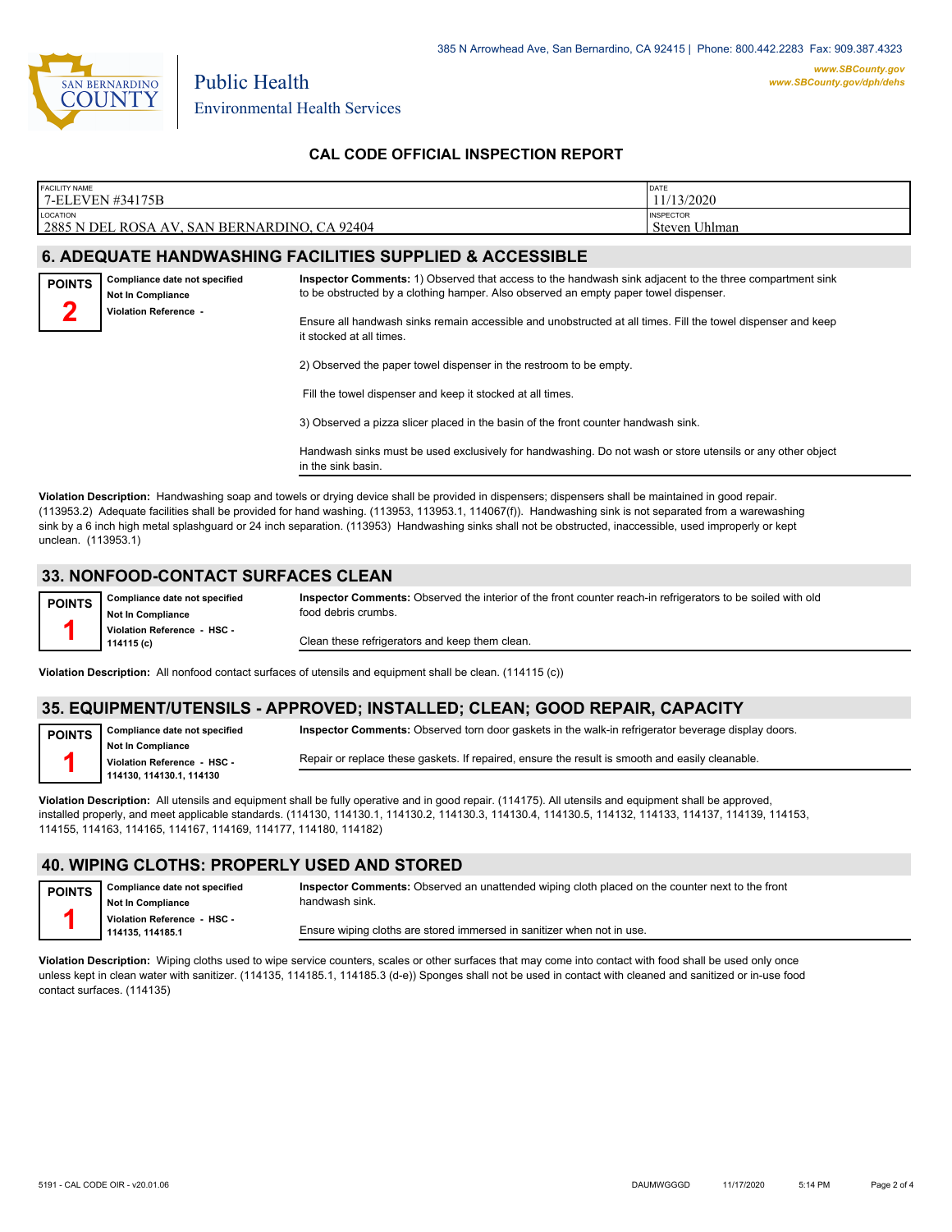

### **CAL CODE OFFICIAL INSPECTION REPORT**

| <b>FACILITY NAME</b> | 7-ELEVEN #34175B                                          |                                                                                                                                                                                                 | DATE<br>11/13/2020                |  |  |  |
|----------------------|-----------------------------------------------------------|-------------------------------------------------------------------------------------------------------------------------------------------------------------------------------------------------|-----------------------------------|--|--|--|
| <b>LOCATION</b>      | 2885 N DEL ROSA AV, SAN BERNARDINO, CA 92404              |                                                                                                                                                                                                 | <b>INSPECTOR</b><br>Steven Uhlman |  |  |  |
|                      |                                                           | <b>6. ADEQUATE HANDWASHING FACILITIES SUPPLIED &amp; ACCESSIBLE</b>                                                                                                                             |                                   |  |  |  |
| <b>POINTS</b>        | Compliance date not specified<br><b>Not In Compliance</b> | Inspector Comments: 1) Observed that access to the handwash sink adjacent to the three compartment sink<br>to be obstructed by a clothing hamper. Also observed an empty paper towel dispenser. |                                   |  |  |  |
|                      | Violation Reference -                                     | Ensure all handwash sinks remain accessible and unobstructed at all times. Fill the towel dispenser and keep<br>it stocked at all times.                                                        |                                   |  |  |  |
|                      |                                                           | 2) Observed the paper towel dispenser in the restroom to be empty.                                                                                                                              |                                   |  |  |  |
|                      |                                                           | Fill the towel dispenser and keep it stocked at all times.                                                                                                                                      |                                   |  |  |  |
|                      |                                                           | 3) Observed a pizza slicer placed in the basin of the front counter handwash sink.                                                                                                              |                                   |  |  |  |
|                      |                                                           | Handwash sinks must be used exclusively for handwashing. Do not wash or store utensils or any other object<br>in the sink basin.                                                                |                                   |  |  |  |
|                      |                                                           |                                                                                                                                                                                                 |                                   |  |  |  |

**Violation Description:** Handwashing soap and towels or drying device shall be provided in dispensers; dispensers shall be maintained in good repair. (113953.2) Adequate facilities shall be provided for hand washing. (113953, 113953.1, 114067(f)). Handwashing sink is not separated from a warewashing sink by a 6 inch high metal splashguard or 24 inch separation. (113953) Handwashing sinks shall not be obstructed, inaccessible, used improperly or kept unclean. (113953.1)

### **33. NONFOOD-CONTACT SURFACES CLEAN**

| <b>POINTS</b> | Compliance date not specified<br><b>Not In Compliance</b> | Inspector Comments: Observed the interior of the front counter reach-in refrigerators to be soiled with old<br>food debris crumbs. |  |  |  |  |
|---------------|-----------------------------------------------------------|------------------------------------------------------------------------------------------------------------------------------------|--|--|--|--|
|               | Violation Reference - HSC -<br>114115 (c)                 | Clean these refrigerators and keep them clean.                                                                                     |  |  |  |  |

**Violation Description:** All nonfood contact surfaces of utensils and equipment shall be clean. (114115 (c))

#### **35. EQUIPMENT/UTENSILS - APPROVED; INSTALLED; CLEAN; GOOD REPAIR, CAPACITY**

**Compliance date not specified POINTS**

**Inspector Comments:** Observed torn door gaskets in the walk-in refrigerator beverage display doors.

**Not In Compliance Violation Reference - HSC - 114130, 114130.1, 114130 1**

Repair or replace these gaskets. If repaired, ensure the result is smooth and easily cleanable.

**Violation Description:** All utensils and equipment shall be fully operative and in good repair. (114175). All utensils and equipment shall be approved, installed properly, and meet applicable standards. (114130, 114130.1, 114130.2, 114130.3, 114130.4, 114130.5, 114132, 114133, 114137, 114139, 114153, 114155, 114163, 114165, 114167, 114169, 114177, 114180, 114182)

### **40. WIPING CLOTHS: PROPERLY USED AND STORED**



**Violation Description:** Wiping cloths used to wipe service counters, scales or other surfaces that may come into contact with food shall be used only once unless kept in clean water with sanitizer. (114135, 114185.1, 114185.3 (d-e)) Sponges shall not be used in contact with cleaned and sanitized or in-use food contact surfaces. (114135)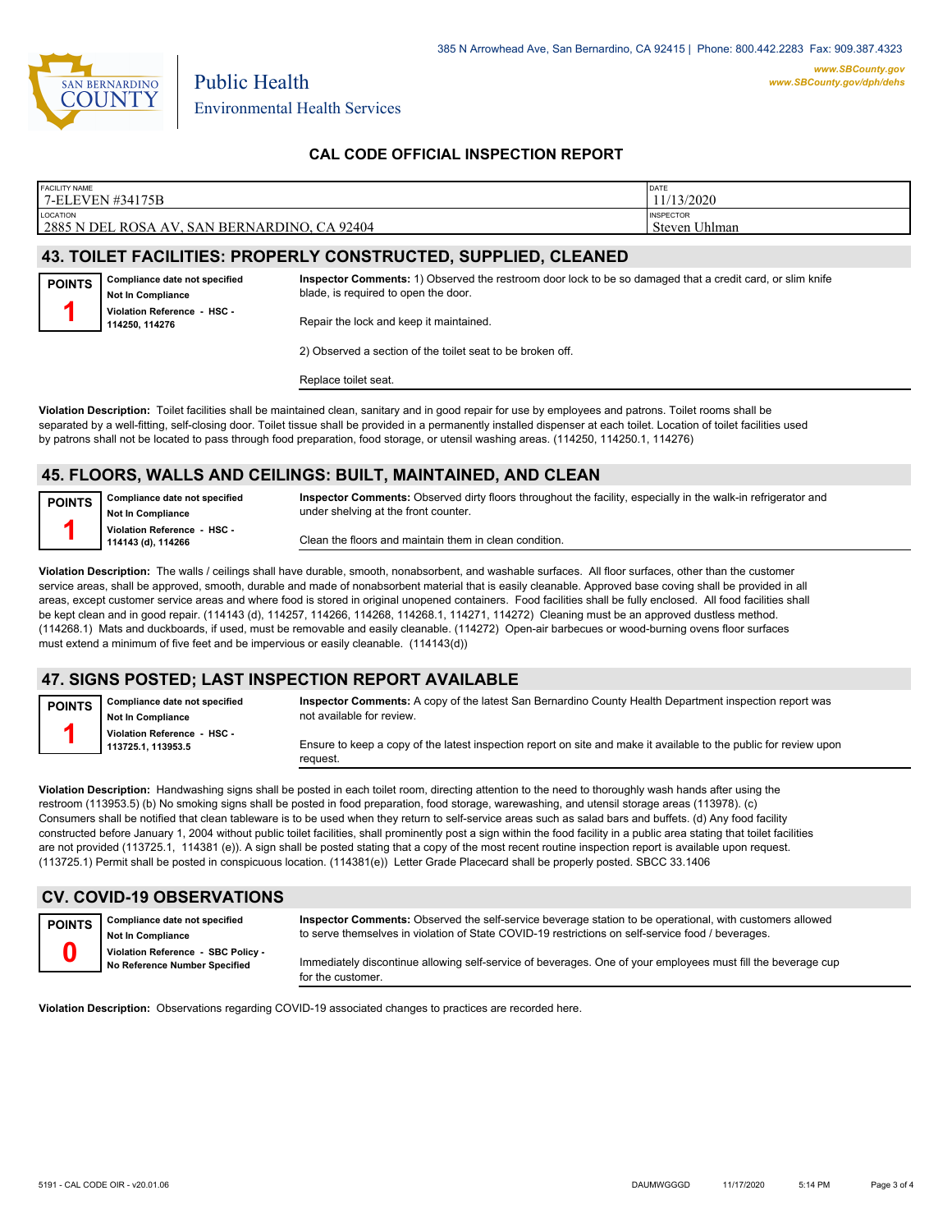

### **CAL CODE OFFICIAL INSPECTION REPORT**

| <b>FACILITY NAME</b><br>7-ELEVEN #34175B                         | DATE<br>1/13/2020                 |
|------------------------------------------------------------------|-----------------------------------|
| LOCATION<br>2885 N DEL ROSA AV.<br>. SAN BERNARDINO,<br>CA 92404 | <b>INSPECTOR</b><br>Steven Uhlman |
|                                                                  |                                   |

### **43. TOILET FACILITIES: PROPERLY CONSTRUCTED, SUPPLIED, CLEANED**

**Compliance date not specified Not In Compliance Violation Reference - HSC - 114250, 114276 POINTS 1**

**Inspector Comments:** 1) Observed the restroom door lock to be so damaged that a credit card, or slim knife blade, is required to open the door. Repair the lock and keep it maintained.

2) Observed a section of the toilet seat to be broken off.

Replace toilet seat.

**Violation Description:** Toilet facilities shall be maintained clean, sanitary and in good repair for use by employees and patrons. Toilet rooms shall be separated by a well-fitting, self-closing door. Toilet tissue shall be provided in a permanently installed dispenser at each toilet. Location of toilet facilities used by patrons shall not be located to pass through food preparation, food storage, or utensil washing areas. (114250, 114250.1, 114276)

#### **45. FLOORS, WALLS AND CEILINGS: BUILT, MAINTAINED, AND CLEAN**

**Compliance date not specified POINTS 1**

**Not In Compliance Violation Reference - HSC - 114143 (d), 114266**

**Inspector Comments:** Observed dirty floors throughout the facility, especially in the walk-in refrigerator and under shelving at the front counter.

Clean the floors and maintain them in clean condition.

**Violation Description:** The walls / ceilings shall have durable, smooth, nonabsorbent, and washable surfaces. All floor surfaces, other than the customer service areas, shall be approved, smooth, durable and made of nonabsorbent material that is easily cleanable. Approved base coving shall be provided in all areas, except customer service areas and where food is stored in original unopened containers. Food facilities shall be fully enclosed. All food facilities shall be kept clean and in good repair. (114143 (d), 114257, 114266, 114268, 114268.1, 114271, 114272) Cleaning must be an approved dustless method. (114268.1) Mats and duckboards, if used, must be removable and easily cleanable. (114272) Open-air barbecues or wood-burning ovens floor surfaces must extend a minimum of five feet and be impervious or easily cleanable. (114143(d))

### **47. SIGNS POSTED; LAST INSPECTION REPORT AVAILABLE**

**Compliance date not specified Not In Compliance Violation Reference - HSC - 113725.1, 113953.5 POINTS 1 Inspector Comments:** A copy of the latest San Bernardino County Health Department inspection report was not available for review. Ensure to keep a copy of the latest inspection report on site and make it available to the public for review upon request.

**Violation Description:** Handwashing signs shall be posted in each toilet room, directing attention to the need to thoroughly wash hands after using the restroom (113953.5) (b) No smoking signs shall be posted in food preparation, food storage, warewashing, and utensil storage areas (113978). (c) Consumers shall be notified that clean tableware is to be used when they return to self-service areas such as salad bars and buffets. (d) Any food facility constructed before January 1, 2004 without public toilet facilities, shall prominently post a sign within the food facility in a public area stating that toilet facilities are not provided (113725.1, 114381 (e)). A sign shall be posted stating that a copy of the most recent routine inspection report is available upon request. (113725.1) Permit shall be posted in conspicuous location. (114381(e)) Letter Grade Placecard shall be properly posted. SBCC 33.1406

### **CV. COVID-19 OBSERVATIONS**

**Compliance date not specified**

**POINTS 0**

**Inspector Comments:** Observed the self-service beverage station to be operational, with customers allowed to serve themselves in violation of State COVID-19 restrictions on self-service food / beverages.

**Not In Compliance Violation Reference - SBC Policy - No Reference Number Specified**

Immediately discontinue allowing self-service of beverages. One of your employees must fill the beverage cup for the customer.

**Violation Description:** Observations regarding COVID-19 associated changes to practices are recorded here.